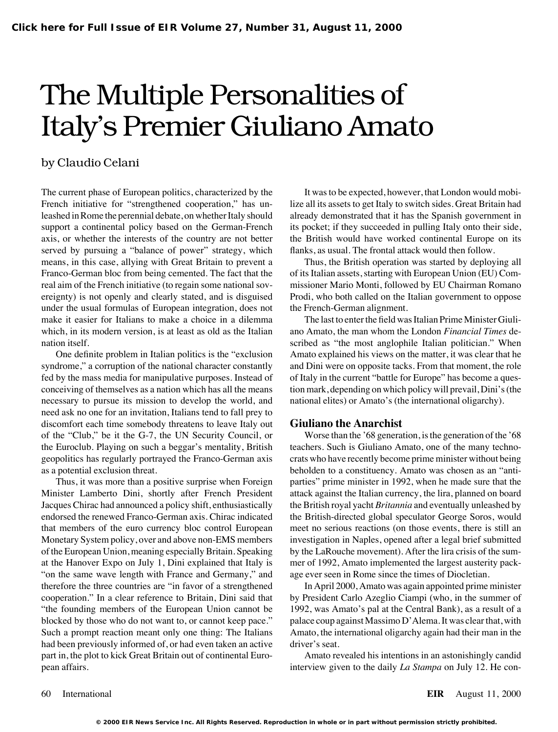# The Multiple Personalities of Italy's Premier Giuliano Amato

### by Claudio Celani

The current phase of European politics, characterized by the It was to be expected, however, that London would mobi-French initiative for "strengthened cooperation," has un-<br>lize all its assets to get Italy to switch sides. Great Britain had leashed in Rome the perennial debate, on whether Italy should already demonstrated that it has the Spanish government in support a continental policy based on the German-French its pocket; if they succeeded in pulling Italy onto their side, axis, or whether the interests of the country are not better the British would have worked continental Europe on its served by pursuing a "balance of power" strategy, which flanks, as usual. The frontal attack would then follow. means, in this case, allying with Great Britain to prevent a Thus, the British operation was started by deploying all Franco-German bloc from being cemented. The fact that the of its Italian assets, starting with European Union (EU) Comreal aim of the French initiative (to regain some national sov- missioner Mario Monti, followed by EU Chairman Romano ereignty) is not openly and clearly stated, and is disguised Prodi, who both called on the Italian government to oppose under the usual formulas of European integration, does not the French-German alignment. make it easier for Italians to make a choice in a dilemma The last to enter the field was Italian Prime Minister Giuliwhich, in its modern version, is at least as old as the Italian ano Amato, the man whom the London *Financial Times* denation itself. Scribed as "the most anglophile Italian politician." When

syndrome," a corruption of the national character constantly and Dini were on opposite tacks. From that moment, the role fed by the mass media for manipulative purposes. Instead of of Italy in the current "battle for Europe" has become a quesconceiving of themselves as a nation which has all the means tion mark, depending on which policy will prevail, Dini's (the necessary to pursue its mission to develop the world, and national elites) or Amato's (the international oligarchy). need ask no one for an invitation, Italians tend to fall prey to discomfort each time somebody threatens to leave Italy out **Giuliano the Anarchist** the Euroclub. Playing on such a beggar's mentality, British teachers. Such is Giuliano Amato, one of the many technoas a potential exclusion threat. beholden to a constituency. Amato was chosen as an "anti-

Minister Lamberto Dini, shortly after French President attack against the Italian currency, the lira, planned on board Jacques Chirac had announced a policy shift, enthusiastically the British royal yacht *Britannia* and eventually unleashed by endorsed the renewed Franco-German axis. Chirac indicated the British-directed global speculator George Soros, would that members of the euro currency bloc control European meet no serious reactions (on those events, there is still an Monetary System policy, over and above non-EMS members investigation in Naples, opened after a legal brief submitted of the European Union, meaning especially Britain. Speaking by the LaRouche movement). After the lira crisis of the sumat the Hanover Expo on July 1, Dini explained that Italy is mer of 1992, Amato implemented the largest austerity pack- "on the same wave length with France and Germany," and age ever seen in Rome since the times of Diocletian. therefore the three countries are "in favor of a strengthened In April 2000, Amato was again appointed prime minister cooperation." In a clear reference to Britain, Dini said that by President Carlo Azeglio Ciampi (who, in the summer of "the founding members of the European Union cannot be 1992, was Amato's pal at the Central Bank), as a result of a blocked by those who do not want to, or cannot keep pace." palace coup against Massimo D'Alema. It was clear that, with Such a prompt reaction meant only one thing: The Italians Amato, the international oligarchy again had their man in the had been previously informed of, or had even taken an active driver's seat. part in, the plot to kick Great Britain out of continental Euro- Amato revealed his intentions in an astonishingly candid pean affairs. interview given to the daily *La Stampa* on July 12. He con-

One definite problem in Italian politics is the "exclusion Amato explained his views on the matter, it was clear that he

of the "Club," be it the G-7, the UN Security Council, or Worse than the '68 generation, is the generation of the '68 geopolitics has regularly portrayed the Franco-German axis crats who have recently become prime minister without being Thus, it was more than a positive surprise when Foreign parties" prime minister in 1992, when he made sure that the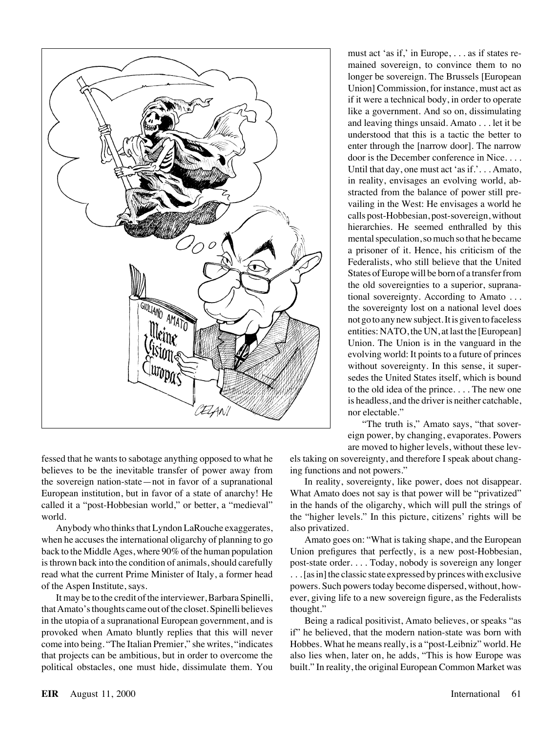

fessed that he wants to sabotage anything opposed to what he els taking on sovereignty, and therefore I speak about changbelieves to be the inevitable transfer of power away from ing functions and not powers." the sovereign nation-state—not in favor of a supranational In reality, sovereignty, like power, does not disappear. European institution, but in favor of a state of anarchy! He What Amato does not say is that power will be "privatized" called it a "post-Hobbesian world," or better, a "medieval" in the hands of the oligarchy, which will pull the strings of world. the "higher levels." In this picture, citizens' rights will be

Anybody who thinks that Lyndon LaRouche exaggerates, also privatized. when he accuses the international oligarchy of planning to go Amato goes on: "What is taking shape, and the European back to the Middle Ages, where 90% of the human population Union prefigures that perfectly, is a new post-Hobbesian, is thrown back into the condition of animals, should carefully post-state order. . . . Today, nobody is sovereign any longer read what the current Prime Minister of Italy, a former head . . . [as in] the classic state expressed by princes with exclusive of the Aspen Institute, says. powers. Such powers today become dispersed, without, how-

that Amato's thoughts came out of the closet. Spinelli believes thought." in the utopia of a supranational European government, and is Being a radical positivist, Amato believes, or speaks "as provoked when Amato bluntly replies that this will never if" he believed, that the modern nation-state was born with come into being. "The Italian Premier," she writes, "indicates Hobbes. What he means really, is a "post-Leibniz" world. He that projects can be ambitious, but in order to overcome the also lies when, later on, he adds, "This is how Europe was political obstacles, one must hide, dissimulate them. You built." In reality, the original European Common Market was

must act 'as if,' in Europe, . . . as if states remained sovereign, to convince them to no longer be sovereign. The Brussels [European Union] Commission, for instance, must act as if it were a technical body, in order to operate like a government. And so on, dissimulating and leaving things unsaid. Amato . . . let it be understood that this is a tactic the better to enter through the [narrow door]. The narrow door is the December conference in Nice. . . . Until that day, one must act 'as if.'. . . Amato, in reality, envisages an evolving world, abstracted from the balance of power still prevailing in the West: He envisages a world he calls post-Hobbesian, post-sovereign, without hierarchies. He seemed enthralled by this mental speculation, so much so that he became a prisoner of it. Hence, his criticism of the Federalists, who still believe that the United States of Europe will be born of a transfer from the old sovereignties to a superior, supranational sovereignty. According to Amato . . . the sovereignty lost on a national level does not go to any new subject. It is given to faceless entities: NATO, the UN, at last the [European] Union. The Union is in the vanguard in the evolving world: It points to a future of princes without sovereignty. In this sense, it supersedes the United States itself, which is bound to the old idea of the prince. . . . The new one is headless, and the driver is neither catchable, nor electable."

"The truth is," Amato says, "that sovereign power, by changing, evaporates. Powers are moved to higher levels, without these lev-

It may be to the credit of the interviewer, Barbara Spinelli, ever, giving life to a new sovereign figure, as the Federalists